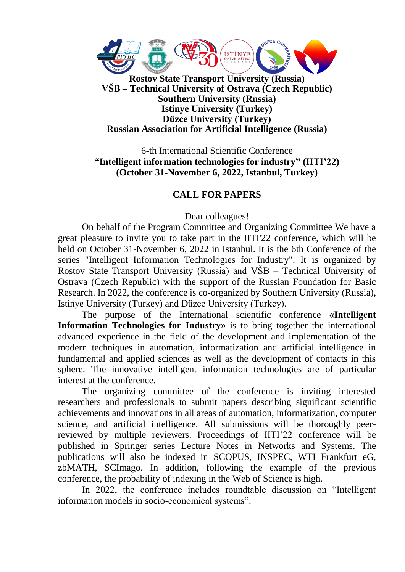

**Southern University (Russia) Istinye University (Turkey) Düzce University (Turkey) Russian Association for Artificial Intelligence (Russia)**

6-th International Scientific Conference **"Intelligent information technologies for industry" (IITI'22) (October 31-November 6, 2022, Istanbul, Turkey)**

#### **CALL FOR PAPERS**

Dear colleagues!

On behalf of the Program Committee and Organizing Committee We have a great pleasure to invite you to take part in the IITI'22 conference, which will be held on October 31-November 6, 2022 in Istanbul. It is the 6th Conference of the series "Intelligent Information Technologies for Industry". It is organized by Rostov State Transport University (Russia) and VŠB – Technical University of Ostrava (Czech Republic) with the support of the Russian Foundation for Basic Research. In 2022, the conference is co-organized by Southern University (Russia), Istinye University (Turkey) and Düzce University (Turkey).

The purpose of the International scientific conference **«Intelligent Information Technologies for Industry»** is to bring together the international advanced experience in the field of the development and implementation of the modern techniques in automation, informatization and artificial intelligence in fundamental and applied sciences as well as the development of contacts in this sphere. The innovative intelligent information technologies are of particular interest at the conference.

The organizing committee of the conference is inviting interested researchers and professionals to submit papers describing significant scientific achievements and innovations in all areas of automation, informatization, computer science, and artificial intelligence. All submissions will be thoroughly peerreviewed by multiple reviewers. Proceedings of IITI'22 conference will be published in Springer series Lecture Notes in Networks and Systems. The publications will also be indexed in SCOPUS, INSPEC, WTI Frankfurt eG, zbMATH, SCImago. In addition, following the example of the previous conference, the probability of indexing in the Web of Science is high.

In 2022, the conference includes roundtable discussion on "Intelligent information models in socio-economical systems".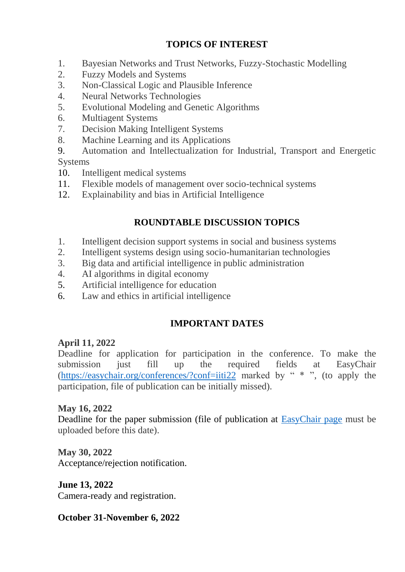### **TOPICS OF INTEREST**

- 1. Bayesian Networks and Trust Networks, Fuzzy-Stochastic Modelling
- 2. Fuzzy Models and Systems
- 3. Non-Classical Logic and Plausible Inference
- 4. Neural Networks Technologies
- 5. Evolutional Modeling and Genetic Algorithms
- 6. Multiagent Systems
- 7. Decision Making Intelligent Systems
- 8. Machine Learning and its Applications
- 9. Automation and Intellectualization for Industrial, Transport and Energetic Systems
- 10. Intelligent medical systems
- 11. Flexible models of management over socio-technical systems
- 12. Explainability and bias in Artificial Intelligence

# **ROUNDTABLE DISCUSSION TOPICS**

- 1. Intelligent decision support systems in social and business systems
- 2. Intelligent systems design using socio-humanitarian technologies
- 3. Big data and artificial intelligence in public administration
- 4. AI algorithms in digital economy
- 5. Artificial intelligence for education
- 6. Law and ethics in artificial intelligence

## **IMPORTANT DATES**

## **April 11, 2022**

Deadline for application for participation in the conference. To make the submission just fill up the required fields at EasyChair [\(https://easychair.org/conferences/?conf=iiti22](https://easychair.org/conferences/?conf=iiti22) marked by " \* ", (to apply the participation, file of publication can be initially missed).

#### **May 16, 2022**

Deadline for the paper submission (file of publication at [EasyChair page](https://easychair.org/conferences/?conf=iiti22) must be uploaded before this date).

**May 30, 2022** Acceptance/rejection notification.

**June 13, 2022** Camera-ready and registration.

**October 31-November 6, 2022**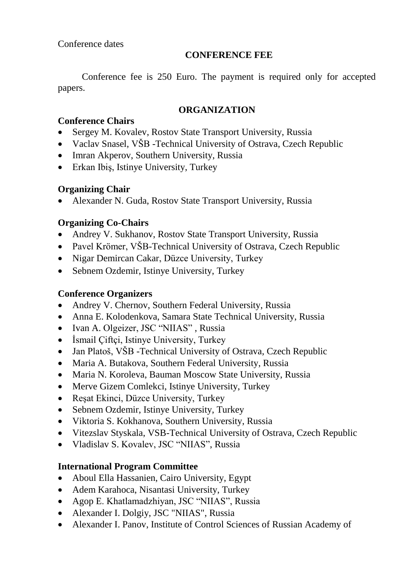#### **CONFERENCE FEE**

Conference fee is 250 Euro. The payment is required only for accepted papers.

### **ORGANIZATION**

## **Conference Chairs**

- Sergey M. Kovalev, Rostov State Transport University, Russia
- Vaclav Snasel, VŠB -Technical University of Ostrava, Czech Republic
- Imran Akperov, Southern University, Russia
- Erkan Ibiş, Istinye University, Turkey

# **Organizing Chair**

Alexander N. Guda, Rostov State Transport University, Russia

# **Organizing Co-Chairs**

- Andrey V. Sukhanov, Rostov State Transport University, Russia
- Pavel Krömer, VŠB-Technical University of Ostrava, Czech Republic
- Nigar Demircan Cakar, Düzce University, Turkey
- Sebnem Ozdemir, Istinye University, Turkey

# **Conference Organizers**

- Andrey V. Chernov, Southern Federal University, Russia
- Anna E. Kolodenkova, Samara State Technical University, Russia
- Ivan A. Olgeizer, JSC "NIIAS", Russia
- İsmail Çiftçi, Istinye University, Turkey
- Jan Platoš, VŠB -Technical University of Ostrava, Czech Republic
- Maria A. Butakova, Southern Federal University, Russia
- Maria N. Koroleva, Bauman Moscow State University, Russia
- Merve Gizem Comlekci, Istinye University, Turkey
- Resat Ekinci, Düzce University, Turkey
- Sebnem Ozdemir, Istinye University, Turkey
- Viktoria S. Kokhanova, Southern University, Russia
- Vitezslav Styskala, VSB-Technical University of Ostrava, Czech Republic
- Vladislav S. Kovalev, JSC "NIIAS", Russia

## **International Program Committee**

- Aboul Ella Hassanien, Cairo University, Egypt
- Adem Karahoca, Nisantasi University, Turkey
- Agop E. Khatlamadzhiyan, JSC "NIIAS", Russia
- Alexander I. Dolgiy, JSC "NIIAS", Russia
- Alexander I. Panov, Institute of Control Sciences of Russian Academy of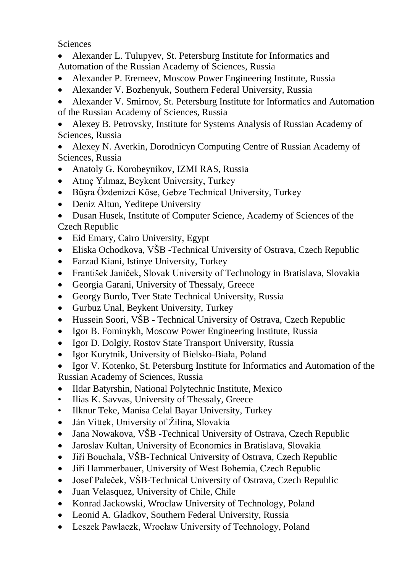**Sciences** 

 Alexander L. Tulupyev, St. Petersburg Institute for Informatics and Automation of the Russian Academy of Sciences, Russia

- Alexander P. Eremeev, Moscow Power Engineering Institute, Russia
- Alexander V. Bozhenyuk, Southern Federal University, Russia
- Alexander V. Smirnov, St. Petersburg Institute for Informatics and Automation of the Russian Academy of Sciences, Russia

 Alexey B. Petrovsky, Institute for Systems Analysis of Russian Academy of Sciences, Russia

- Alexey N. Averkin, Dorodnicyn Computing Centre of Russian Academy of Sciences, Russia
- Anatoly G. Korobeynikov, IZMI RAS, Russia
- Atınç Yılmaz, Beykent University, Turkey
- Büşra Özdenizci Köse, Gebze Technical University, Turkey
- Deniz Altun, Yeditepe University
- Dusan Husek, Institute of Computer Science, Academy of Sciences of the Czech Republic
- Eid Emary, Cairo University, Egypt
- Eliska Ochodkova, VŠB -Technical University of Ostrava, Czech Republic
- Farzad Kiani, Istinye University, Turkey
- František Janíček, Slovak University of Technology in Bratislava, Slovakia
- Georgia Garani, University of Thessaly, Greece
- Georgy Burdo, Tver State Technical University, Russia
- Gurbuz Unal, Beykent University, Turkey
- Hussein Soori, VŠB Technical University of Ostrava, Czech Republic
- Igor B. Fominykh, Moscow Power Engineering Institute, Russia
- Igor D. Dolgiy, Rostov State Transport University, Russia
- Igor Kurytnik, University of Bielsko-Biała, Poland
- Igor V. Kotenko, St. Petersburg Institute for Informatics and Automation of the Russian Academy of Sciences, Russia
- Ildar Batyrshin, National Polytechnic Institute, Mexico
- Ilias K. Savvas, University of Thessaly, Greece
- Ilknur Teke, Manisa Celal Bayar University, Turkey
- Ján Vittek, University of Žilina, Slovakia
- Jana Nowakova, VŠB -Technical University of Ostrava, Czech Republic
- Jaroslav Kultan, University of Economics in Bratislava, Slovakia
- Jiří Bouchala, VŠB-Technical University of Ostrava, Czech Republic
- Jiří Hammerbauer, University of West Bohemia, Czech Republic
- Josef Paleček, VŠB-Technical University of Ostrava, Czech Republic
- Juan Velasquez, University of Chile, Chile
- Konrad Jackowski, Wroclaw University of Technology, Poland
- Leonid A. Gladkov, Southern Federal University, Russia
- Leszek Pawlaczk, Wrocław University of Technology, Poland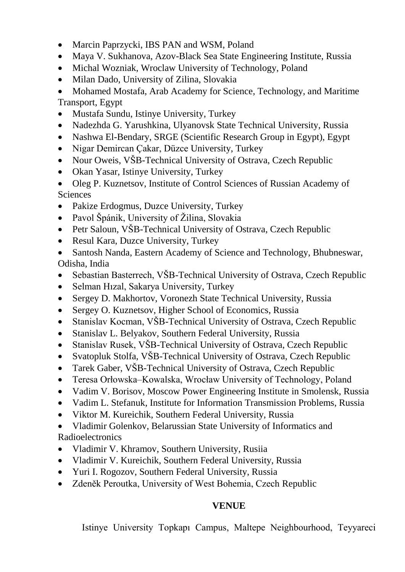- Marcin Paprzycki, IBS PAN and WSM, Poland
- Maya V. Sukhanova, Azov-Black Sea State Engineering Institute, Russia
- Michal Wozniak, Wroclaw University of Technology, Poland
- Milan Dado, University of Zilina, Slovakia

• Mohamed Mostafa, Arab Academy for Science, Technology, and Maritime Transport, Egypt

- Mustafa Sundu, Istinye University, Turkey
- Nadezhda G. Yarushkina, Ulyanovsk State Technical University, Russia
- Nashwa El-Bendary, SRGE (Scientific Research Group in Egypt), Egypt
- Nigar Demircan Cakar, Düzce University, Turkey
- Nour Oweis, VŠB-Technical University of Ostrava, Czech Republic
- Okan Yasar, Istinye University, Turkey
- Oleg P. Kuznetsov, Institute of Control Sciences of Russian Academy of Sciences
- Pakize Erdogmus, Duzce University, Turkey
- Pavol Špánik, University of Žilina, Slovakia
- Petr Saloun, VŠB-Technical University of Ostrava, Czech Republic
- Resul Kara, Duzce University, Turkey
- Santosh Nanda, Eastern Academy of Science and Technology, Bhubneswar, Odisha, India
- Sebastian Basterrech, VŠB-Technical University of Ostrava, Czech Republic
- Selman Hızal, Sakarya University, Turkey
- Sergey D. Makhortov, Voronezh State Technical University, Russia
- Sergey O. Kuznetsov, Higher School of Economics, Russia
- Stanislav Kocman, VŠB-Technical University of Ostrava, Czech Republic
- Stanislav L. Belyakov, Southern Federal University, Russia
- Stanislav Rusek, VŠB-Technical University of Ostrava, Czech Republic
- Svatopluk Stolfa, VŠB-Technical University of Ostrava, Czech Republic
- Tarek Gaber, VŠB-Technical University of Ostrava, Czech Republic
- Teresa Orłowska–Kowalska, Wrocław University of Technology, Poland
- Vadim V. Borisov, Moscow Power Engineering Institute in Smolensk, Russia
- Vadim L. Stefanuk, Institute for Information Transmission Problems, Russia
- Viktor M. Kureichik, Southern Federal University, Russia
- Vladimir Golenkov, Belarussian State University of Informatics and

**Radioelectronics** 

- Vladimir V. Khramov, Southern University, Rusiia
- Vladimir V. Kureichik, Southern Federal University, Russia
- Yuri I. Rogozov, Southern Federal University, Russia
- Zdeněk Peroutka, University of West Bohemia, Czech Republic

#### **VENUE**

Istinye University Topkapı Campus, Maltepe Neighbourhood, Teyyareci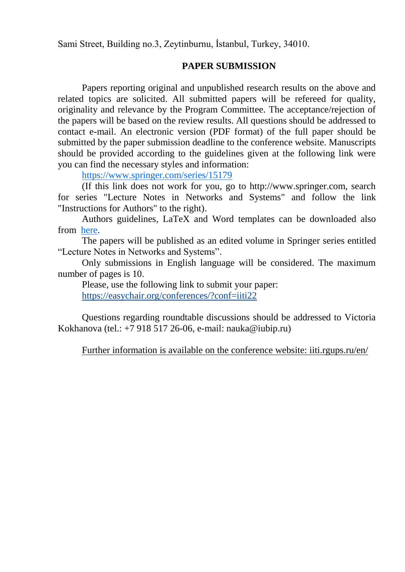Sami Street, Building no.3, Zeytinburnu, İstanbul, Turkey, 34010.

#### **PAPER SUBMISSION**

Papers reporting original and unpublished research results on the above and related topics are solicited. All submitted papers will be refereed for quality, originality and relevance by the Program Committee. The acceptance/rejection of the papers will be based on the review results. All questions should be addressed to contact e-mail. An electronic version (PDF format) of the full paper should be submitted by the paper submission deadline to the conference website. Manuscripts should be provided according to the guidelines given at the following link were you can find the necessary styles and information:

<https://www.springer.com/series/15179>

(If this link does not work for you, go to http://www.springer.com, search for series "Lecture Notes in Networks and Systems" and follow the link "Instructions for Authors" to the right).

Authors guidelines, LaTeX and Word templates can be downloaded also from [here.](https://www.springer.com/gp/computer-science/lncs/conference-proceedings-guidelines)

The papers will be published as an edited volume in Springer series entitled "Lecture Notes in Networks and Systems".

Only submissions in English language will be considered. The maximum number of pages is 10.

Please, use the following link to submit your paper: https://easychair.org/conferences/?conf=iiti22

Questions regarding roundtable discussions should be addressed to Victoria Kokhanova (tel.: +7 918 517 26-06, e-mail: nauka@iubip.ru)

Further information is available on the conference website: iiti.rgups.ru/en/